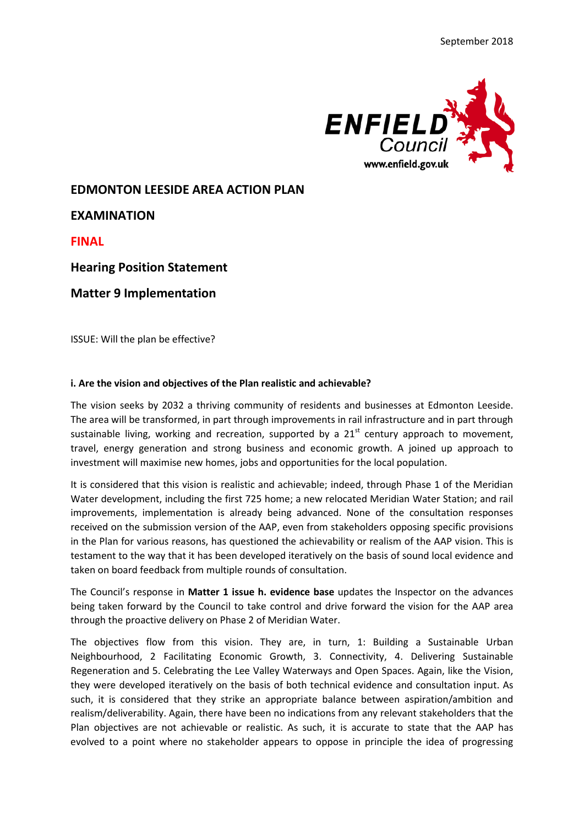

# **EDMONTON LEESIDE AREA ACTION PLAN**

**EXAMINATION**

**FINAL**

**Hearing Position Statement**

**Matter 9 Implementation**

ISSUE: Will the plan be effective?

### **i. Are the vision and objectives of the Plan realistic and achievable?**

The vision seeks by 2032 a thriving community of residents and businesses at Edmonton Leeside. The area will be transformed, in part through improvements in rail infrastructure and in part through sustainable living, working and recreation, supported by a  $21<sup>st</sup>$  century approach to movement, travel, energy generation and strong business and economic growth. A joined up approach to investment will maximise new homes, jobs and opportunities for the local population.

It is considered that this vision is realistic and achievable; indeed, through Phase 1 of the Meridian Water development, including the first 725 home; a new relocated Meridian Water Station; and rail improvements, implementation is already being advanced. None of the consultation responses received on the submission version of the AAP, even from stakeholders opposing specific provisions in the Plan for various reasons, has questioned the achievability or realism of the AAP vision. This is testament to the way that it has been developed iteratively on the basis of sound local evidence and taken on board feedback from multiple rounds of consultation.

The Council's response in **Matter 1 issue h. evidence base** updates the Inspector on the advances being taken forward by the Council to take control and drive forward the vision for the AAP area through the proactive delivery on Phase 2 of Meridian Water.

The objectives flow from this vision. They are, in turn, 1: Building a Sustainable Urban Neighbourhood, 2 Facilitating Economic Growth, 3. Connectivity, 4. Delivering Sustainable Regeneration and 5. Celebrating the Lee Valley Waterways and Open Spaces. Again, like the Vision, they were developed iteratively on the basis of both technical evidence and consultation input. As such, it is considered that they strike an appropriate balance between aspiration/ambition and realism/deliverability. Again, there have been no indications from any relevant stakeholders that the Plan objectives are not achievable or realistic. As such, it is accurate to state that the AAP has evolved to a point where no stakeholder appears to oppose in principle the idea of progressing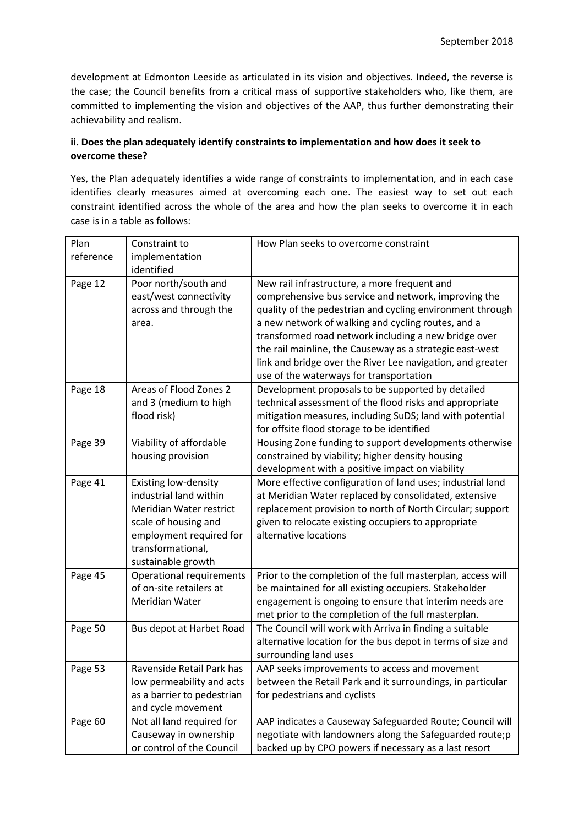development at Edmonton Leeside as articulated in its vision and objectives. Indeed, the reverse is the case; the Council benefits from a critical mass of supportive stakeholders who, like them, are committed to implementing the vision and objectives of the AAP, thus further demonstrating their achievability and realism.

# **ii. Does the plan adequately identify constraints to implementation and how does it seek to overcome these?**

Yes, the Plan adequately identifies a wide range of constraints to implementation, and in each case identifies clearly measures aimed at overcoming each one. The easiest way to set out each constraint identified across the whole of the area and how the plan seeks to overcome it in each case is in a table as follows:

| reference<br>implementation<br>identified<br>Page 12<br>Poor north/south and<br>New rail infrastructure, a more frequent and<br>east/west connectivity<br>comprehensive bus service and network, improving the<br>across and through the<br>quality of the pedestrian and cycling environment through<br>a new network of walking and cycling routes, and a<br>area.<br>transformed road network including a new bridge over<br>the rail mainline, the Causeway as a strategic east-west<br>link and bridge over the River Lee navigation, and greater<br>use of the waterways for transportation<br>Areas of Flood Zones 2<br>Page 18<br>Development proposals to be supported by detailed<br>technical assessment of the flood risks and appropriate<br>and 3 (medium to high<br>flood risk)<br>mitigation measures, including SuDS; land with potential<br>for offsite flood storage to be identified<br>Page 39<br>Viability of affordable<br>Housing Zone funding to support developments otherwise<br>housing provision<br>constrained by viability; higher density housing<br>development with a positive impact on viability<br>Page 41<br>Existing low-density<br>More effective configuration of land uses; industrial land<br>industrial land within<br>at Meridian Water replaced by consolidated, extensive<br>Meridian Water restrict<br>replacement provision to north of North Circular; support<br>scale of housing and<br>given to relocate existing occupiers to appropriate<br>employment required for<br>alternative locations |
|-----------------------------------------------------------------------------------------------------------------------------------------------------------------------------------------------------------------------------------------------------------------------------------------------------------------------------------------------------------------------------------------------------------------------------------------------------------------------------------------------------------------------------------------------------------------------------------------------------------------------------------------------------------------------------------------------------------------------------------------------------------------------------------------------------------------------------------------------------------------------------------------------------------------------------------------------------------------------------------------------------------------------------------------------------------------------------------------------------------------------------------------------------------------------------------------------------------------------------------------------------------------------------------------------------------------------------------------------------------------------------------------------------------------------------------------------------------------------------------------------------------------------------------------------------|
|                                                                                                                                                                                                                                                                                                                                                                                                                                                                                                                                                                                                                                                                                                                                                                                                                                                                                                                                                                                                                                                                                                                                                                                                                                                                                                                                                                                                                                                                                                                                                     |
|                                                                                                                                                                                                                                                                                                                                                                                                                                                                                                                                                                                                                                                                                                                                                                                                                                                                                                                                                                                                                                                                                                                                                                                                                                                                                                                                                                                                                                                                                                                                                     |
|                                                                                                                                                                                                                                                                                                                                                                                                                                                                                                                                                                                                                                                                                                                                                                                                                                                                                                                                                                                                                                                                                                                                                                                                                                                                                                                                                                                                                                                                                                                                                     |
|                                                                                                                                                                                                                                                                                                                                                                                                                                                                                                                                                                                                                                                                                                                                                                                                                                                                                                                                                                                                                                                                                                                                                                                                                                                                                                                                                                                                                                                                                                                                                     |
|                                                                                                                                                                                                                                                                                                                                                                                                                                                                                                                                                                                                                                                                                                                                                                                                                                                                                                                                                                                                                                                                                                                                                                                                                                                                                                                                                                                                                                                                                                                                                     |
|                                                                                                                                                                                                                                                                                                                                                                                                                                                                                                                                                                                                                                                                                                                                                                                                                                                                                                                                                                                                                                                                                                                                                                                                                                                                                                                                                                                                                                                                                                                                                     |
|                                                                                                                                                                                                                                                                                                                                                                                                                                                                                                                                                                                                                                                                                                                                                                                                                                                                                                                                                                                                                                                                                                                                                                                                                                                                                                                                                                                                                                                                                                                                                     |
|                                                                                                                                                                                                                                                                                                                                                                                                                                                                                                                                                                                                                                                                                                                                                                                                                                                                                                                                                                                                                                                                                                                                                                                                                                                                                                                                                                                                                                                                                                                                                     |
|                                                                                                                                                                                                                                                                                                                                                                                                                                                                                                                                                                                                                                                                                                                                                                                                                                                                                                                                                                                                                                                                                                                                                                                                                                                                                                                                                                                                                                                                                                                                                     |
|                                                                                                                                                                                                                                                                                                                                                                                                                                                                                                                                                                                                                                                                                                                                                                                                                                                                                                                                                                                                                                                                                                                                                                                                                                                                                                                                                                                                                                                                                                                                                     |
|                                                                                                                                                                                                                                                                                                                                                                                                                                                                                                                                                                                                                                                                                                                                                                                                                                                                                                                                                                                                                                                                                                                                                                                                                                                                                                                                                                                                                                                                                                                                                     |
|                                                                                                                                                                                                                                                                                                                                                                                                                                                                                                                                                                                                                                                                                                                                                                                                                                                                                                                                                                                                                                                                                                                                                                                                                                                                                                                                                                                                                                                                                                                                                     |
|                                                                                                                                                                                                                                                                                                                                                                                                                                                                                                                                                                                                                                                                                                                                                                                                                                                                                                                                                                                                                                                                                                                                                                                                                                                                                                                                                                                                                                                                                                                                                     |
|                                                                                                                                                                                                                                                                                                                                                                                                                                                                                                                                                                                                                                                                                                                                                                                                                                                                                                                                                                                                                                                                                                                                                                                                                                                                                                                                                                                                                                                                                                                                                     |
|                                                                                                                                                                                                                                                                                                                                                                                                                                                                                                                                                                                                                                                                                                                                                                                                                                                                                                                                                                                                                                                                                                                                                                                                                                                                                                                                                                                                                                                                                                                                                     |
|                                                                                                                                                                                                                                                                                                                                                                                                                                                                                                                                                                                                                                                                                                                                                                                                                                                                                                                                                                                                                                                                                                                                                                                                                                                                                                                                                                                                                                                                                                                                                     |
|                                                                                                                                                                                                                                                                                                                                                                                                                                                                                                                                                                                                                                                                                                                                                                                                                                                                                                                                                                                                                                                                                                                                                                                                                                                                                                                                                                                                                                                                                                                                                     |
|                                                                                                                                                                                                                                                                                                                                                                                                                                                                                                                                                                                                                                                                                                                                                                                                                                                                                                                                                                                                                                                                                                                                                                                                                                                                                                                                                                                                                                                                                                                                                     |
|                                                                                                                                                                                                                                                                                                                                                                                                                                                                                                                                                                                                                                                                                                                                                                                                                                                                                                                                                                                                                                                                                                                                                                                                                                                                                                                                                                                                                                                                                                                                                     |
|                                                                                                                                                                                                                                                                                                                                                                                                                                                                                                                                                                                                                                                                                                                                                                                                                                                                                                                                                                                                                                                                                                                                                                                                                                                                                                                                                                                                                                                                                                                                                     |
|                                                                                                                                                                                                                                                                                                                                                                                                                                                                                                                                                                                                                                                                                                                                                                                                                                                                                                                                                                                                                                                                                                                                                                                                                                                                                                                                                                                                                                                                                                                                                     |
|                                                                                                                                                                                                                                                                                                                                                                                                                                                                                                                                                                                                                                                                                                                                                                                                                                                                                                                                                                                                                                                                                                                                                                                                                                                                                                                                                                                                                                                                                                                                                     |
| transformational,                                                                                                                                                                                                                                                                                                                                                                                                                                                                                                                                                                                                                                                                                                                                                                                                                                                                                                                                                                                                                                                                                                                                                                                                                                                                                                                                                                                                                                                                                                                                   |
| sustainable growth                                                                                                                                                                                                                                                                                                                                                                                                                                                                                                                                                                                                                                                                                                                                                                                                                                                                                                                                                                                                                                                                                                                                                                                                                                                                                                                                                                                                                                                                                                                                  |
| Page 45<br>Prior to the completion of the full masterplan, access will<br>Operational requirements                                                                                                                                                                                                                                                                                                                                                                                                                                                                                                                                                                                                                                                                                                                                                                                                                                                                                                                                                                                                                                                                                                                                                                                                                                                                                                                                                                                                                                                  |
| of on-site retailers at<br>be maintained for all existing occupiers. Stakeholder                                                                                                                                                                                                                                                                                                                                                                                                                                                                                                                                                                                                                                                                                                                                                                                                                                                                                                                                                                                                                                                                                                                                                                                                                                                                                                                                                                                                                                                                    |
| Meridian Water<br>engagement is ongoing to ensure that interim needs are                                                                                                                                                                                                                                                                                                                                                                                                                                                                                                                                                                                                                                                                                                                                                                                                                                                                                                                                                                                                                                                                                                                                                                                                                                                                                                                                                                                                                                                                            |
| met prior to the completion of the full masterplan.                                                                                                                                                                                                                                                                                                                                                                                                                                                                                                                                                                                                                                                                                                                                                                                                                                                                                                                                                                                                                                                                                                                                                                                                                                                                                                                                                                                                                                                                                                 |
| The Council will work with Arriva in finding a suitable<br>Page 50<br>Bus depot at Harbet Road                                                                                                                                                                                                                                                                                                                                                                                                                                                                                                                                                                                                                                                                                                                                                                                                                                                                                                                                                                                                                                                                                                                                                                                                                                                                                                                                                                                                                                                      |
| alternative location for the bus depot in terms of size and                                                                                                                                                                                                                                                                                                                                                                                                                                                                                                                                                                                                                                                                                                                                                                                                                                                                                                                                                                                                                                                                                                                                                                                                                                                                                                                                                                                                                                                                                         |
| surrounding land uses<br>Ravenside Retail Park has<br>Page 53                                                                                                                                                                                                                                                                                                                                                                                                                                                                                                                                                                                                                                                                                                                                                                                                                                                                                                                                                                                                                                                                                                                                                                                                                                                                                                                                                                                                                                                                                       |
| AAP seeks improvements to access and movement<br>between the Retail Park and it surroundings, in particular                                                                                                                                                                                                                                                                                                                                                                                                                                                                                                                                                                                                                                                                                                                                                                                                                                                                                                                                                                                                                                                                                                                                                                                                                                                                                                                                                                                                                                         |
| low permeability and acts<br>for pedestrians and cyclists<br>as a barrier to pedestrian                                                                                                                                                                                                                                                                                                                                                                                                                                                                                                                                                                                                                                                                                                                                                                                                                                                                                                                                                                                                                                                                                                                                                                                                                                                                                                                                                                                                                                                             |
| and cycle movement                                                                                                                                                                                                                                                                                                                                                                                                                                                                                                                                                                                                                                                                                                                                                                                                                                                                                                                                                                                                                                                                                                                                                                                                                                                                                                                                                                                                                                                                                                                                  |
| Not all land required for<br>Page 60<br>AAP indicates a Causeway Safeguarded Route; Council will                                                                                                                                                                                                                                                                                                                                                                                                                                                                                                                                                                                                                                                                                                                                                                                                                                                                                                                                                                                                                                                                                                                                                                                                                                                                                                                                                                                                                                                    |
| Causeway in ownership<br>negotiate with landowners along the Safeguarded route;p                                                                                                                                                                                                                                                                                                                                                                                                                                                                                                                                                                                                                                                                                                                                                                                                                                                                                                                                                                                                                                                                                                                                                                                                                                                                                                                                                                                                                                                                    |
| or control of the Council<br>backed up by CPO powers if necessary as a last resort                                                                                                                                                                                                                                                                                                                                                                                                                                                                                                                                                                                                                                                                                                                                                                                                                                                                                                                                                                                                                                                                                                                                                                                                                                                                                                                                                                                                                                                                  |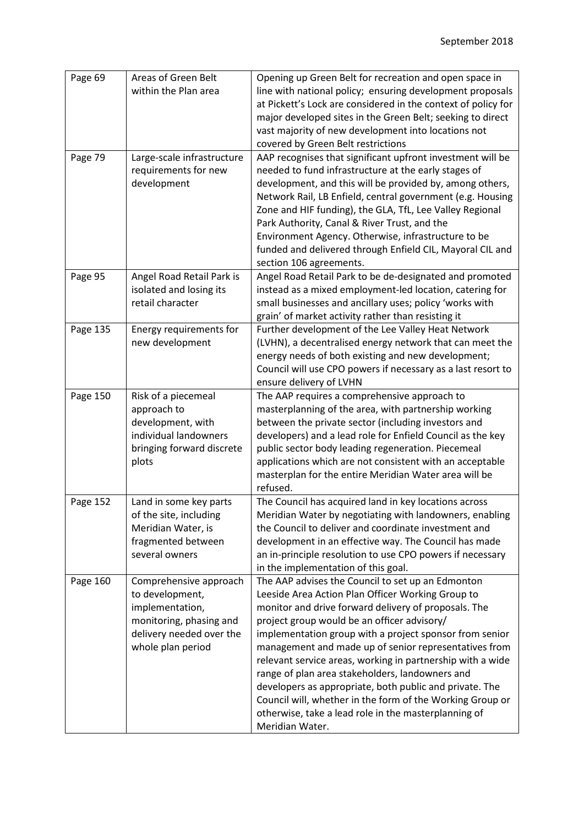| Page 69  | Areas of Green Belt<br>within the Plan area                                                                                              | Opening up Green Belt for recreation and open space in<br>line with national policy; ensuring development proposals<br>at Pickett's Lock are considered in the context of policy for<br>major developed sites in the Green Belt; seeking to direct<br>vast majority of new development into locations not<br>covered by Green Belt restrictions                                                                                                                                                                                                                                                                                                       |
|----------|------------------------------------------------------------------------------------------------------------------------------------------|-------------------------------------------------------------------------------------------------------------------------------------------------------------------------------------------------------------------------------------------------------------------------------------------------------------------------------------------------------------------------------------------------------------------------------------------------------------------------------------------------------------------------------------------------------------------------------------------------------------------------------------------------------|
| Page 79  | Large-scale infrastructure<br>requirements for new<br>development                                                                        | AAP recognises that significant upfront investment will be<br>needed to fund infrastructure at the early stages of<br>development, and this will be provided by, among others,<br>Network Rail, LB Enfield, central government (e.g. Housing<br>Zone and HIF funding), the GLA, TfL, Lee Valley Regional<br>Park Authority, Canal & River Trust, and the<br>Environment Agency. Otherwise, infrastructure to be<br>funded and delivered through Enfield CIL, Mayoral CIL and<br>section 106 agreements.                                                                                                                                               |
| Page 95  | Angel Road Retail Park is<br>isolated and losing its<br>retail character                                                                 | Angel Road Retail Park to be de-designated and promoted<br>instead as a mixed employment-led location, catering for<br>small businesses and ancillary uses; policy 'works with<br>grain' of market activity rather than resisting it                                                                                                                                                                                                                                                                                                                                                                                                                  |
| Page 135 | Energy requirements for<br>new development                                                                                               | Further development of the Lee Valley Heat Network<br>(LVHN), a decentralised energy network that can meet the<br>energy needs of both existing and new development;<br>Council will use CPO powers if necessary as a last resort to<br>ensure delivery of LVHN                                                                                                                                                                                                                                                                                                                                                                                       |
| Page 150 | Risk of a piecemeal<br>approach to<br>development, with<br>individual landowners<br>bringing forward discrete<br>plots                   | The AAP requires a comprehensive approach to<br>masterplanning of the area, with partnership working<br>between the private sector (including investors and<br>developers) and a lead role for Enfield Council as the key<br>public sector body leading regeneration. Piecemeal<br>applications which are not consistent with an acceptable<br>masterplan for the entire Meridian Water area will be<br>refused.                                                                                                                                                                                                                                      |
| Page 152 | Land in some key parts<br>of the site, including<br>Meridian Water, is<br>fragmented between<br>several owners                           | The Council has acquired land in key locations across<br>Meridian Water by negotiating with landowners, enabling<br>the Council to deliver and coordinate investment and<br>development in an effective way. The Council has made<br>an in-principle resolution to use CPO powers if necessary<br>in the implementation of this goal.                                                                                                                                                                                                                                                                                                                 |
| Page 160 | Comprehensive approach<br>to development,<br>implementation,<br>monitoring, phasing and<br>delivery needed over the<br>whole plan period | The AAP advises the Council to set up an Edmonton<br>Leeside Area Action Plan Officer Working Group to<br>monitor and drive forward delivery of proposals. The<br>project group would be an officer advisory/<br>implementation group with a project sponsor from senior<br>management and made up of senior representatives from<br>relevant service areas, working in partnership with a wide<br>range of plan area stakeholders, landowners and<br>developers as appropriate, both public and private. The<br>Council will, whether in the form of the Working Group or<br>otherwise, take a lead role in the masterplanning of<br>Meridian Water. |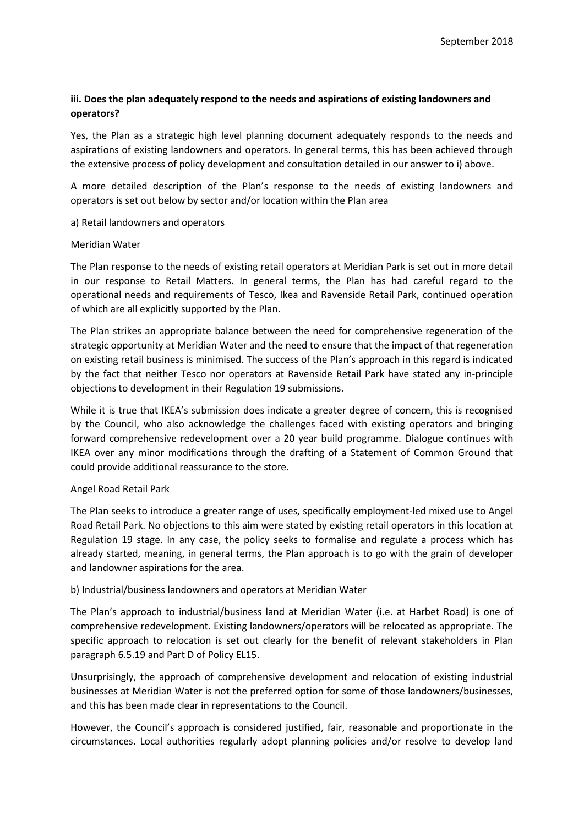## **iii. Does the plan adequately respond to the needs and aspirations of existing landowners and operators?**

Yes, the Plan as a strategic high level planning document adequately responds to the needs and aspirations of existing landowners and operators. In general terms, this has been achieved through the extensive process of policy development and consultation detailed in our answer to i) above.

A more detailed description of the Plan's response to the needs of existing landowners and operators is set out below by sector and/or location within the Plan area

a) Retail landowners and operators

#### Meridian Water

The Plan response to the needs of existing retail operators at Meridian Park is set out in more detail in our response to Retail Matters. In general terms, the Plan has had careful regard to the operational needs and requirements of Tesco, Ikea and Ravenside Retail Park, continued operation of which are all explicitly supported by the Plan.

The Plan strikes an appropriate balance between the need for comprehensive regeneration of the strategic opportunity at Meridian Water and the need to ensure that the impact of that regeneration on existing retail business is minimised. The success of the Plan's approach in this regard is indicated by the fact that neither Tesco nor operators at Ravenside Retail Park have stated any in-principle objections to development in their Regulation 19 submissions.

While it is true that IKEA's submission does indicate a greater degree of concern, this is recognised by the Council, who also acknowledge the challenges faced with existing operators and bringing forward comprehensive redevelopment over a 20 year build programme. Dialogue continues with IKEA over any minor modifications through the drafting of a Statement of Common Ground that could provide additional reassurance to the store.

#### Angel Road Retail Park

The Plan seeks to introduce a greater range of uses, specifically employment-led mixed use to Angel Road Retail Park. No objections to this aim were stated by existing retail operators in this location at Regulation 19 stage. In any case, the policy seeks to formalise and regulate a process which has already started, meaning, in general terms, the Plan approach is to go with the grain of developer and landowner aspirations for the area.

#### b) Industrial/business landowners and operators at Meridian Water

The Plan's approach to industrial/business land at Meridian Water (i.e. at Harbet Road) is one of comprehensive redevelopment. Existing landowners/operators will be relocated as appropriate. The specific approach to relocation is set out clearly for the benefit of relevant stakeholders in Plan paragraph 6.5.19 and Part D of Policy EL15.

Unsurprisingly, the approach of comprehensive development and relocation of existing industrial businesses at Meridian Water is not the preferred option for some of those landowners/businesses, and this has been made clear in representations to the Council.

However, the Council's approach is considered justified, fair, reasonable and proportionate in the circumstances. Local authorities regularly adopt planning policies and/or resolve to develop land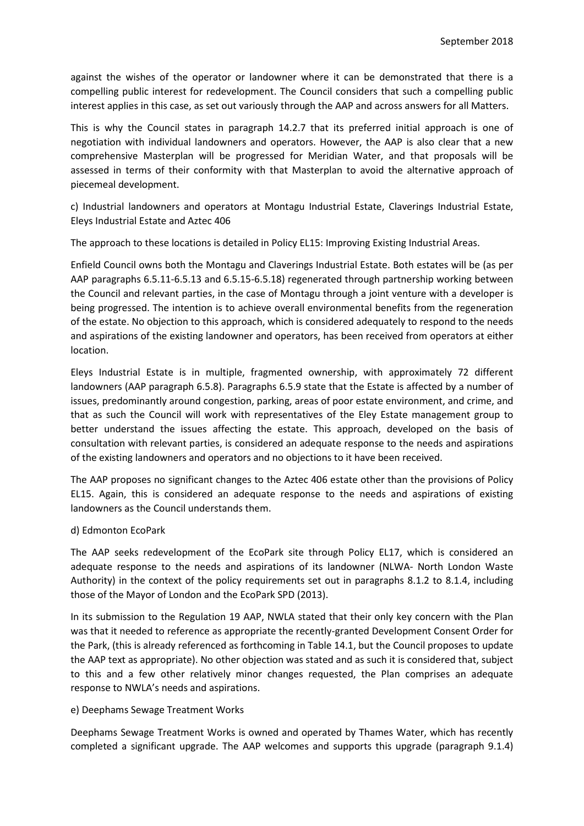against the wishes of the operator or landowner where it can be demonstrated that there is a compelling public interest for redevelopment. The Council considers that such a compelling public interest applies in this case, as set out variously through the AAP and across answers for all Matters.

This is why the Council states in paragraph 14.2.7 that its preferred initial approach is one of negotiation with individual landowners and operators. However, the AAP is also clear that a new comprehensive Masterplan will be progressed for Meridian Water, and that proposals will be assessed in terms of their conformity with that Masterplan to avoid the alternative approach of piecemeal development.

c) Industrial landowners and operators at Montagu Industrial Estate, Claverings Industrial Estate, Eleys Industrial Estate and Aztec 406

The approach to these locations is detailed in Policy EL15: Improving Existing Industrial Areas.

Enfield Council owns both the Montagu and Claverings Industrial Estate. Both estates will be (as per AAP paragraphs 6.5.11-6.5.13 and 6.5.15-6.5.18) regenerated through partnership working between the Council and relevant parties, in the case of Montagu through a joint venture with a developer is being progressed. The intention is to achieve overall environmental benefits from the regeneration of the estate. No objection to this approach, which is considered adequately to respond to the needs and aspirations of the existing landowner and operators, has been received from operators at either location.

Eleys Industrial Estate is in multiple, fragmented ownership, with approximately 72 different landowners (AAP paragraph 6.5.8). Paragraphs 6.5.9 state that the Estate is affected by a number of issues, predominantly around congestion, parking, areas of poor estate environment, and crime, and that as such the Council will work with representatives of the Eley Estate management group to better understand the issues affecting the estate. This approach, developed on the basis of consultation with relevant parties, is considered an adequate response to the needs and aspirations of the existing landowners and operators and no objections to it have been received.

The AAP proposes no significant changes to the Aztec 406 estate other than the provisions of Policy EL15. Again, this is considered an adequate response to the needs and aspirations of existing landowners as the Council understands them.

### d) Edmonton EcoPark

The AAP seeks redevelopment of the EcoPark site through Policy EL17, which is considered an adequate response to the needs and aspirations of its landowner (NLWA- North London Waste Authority) in the context of the policy requirements set out in paragraphs 8.1.2 to 8.1.4, including those of the Mayor of London and the EcoPark SPD (2013).

In its submission to the Regulation 19 AAP, NWLA stated that their only key concern with the Plan was that it needed to reference as appropriate the recently-granted Development Consent Order for the Park, (this is already referenced as forthcoming in Table 14.1, but the Council proposes to update the AAP text as appropriate). No other objection was stated and as such it is considered that, subject to this and a few other relatively minor changes requested, the Plan comprises an adequate response to NWLA's needs and aspirations.

### e) Deephams Sewage Treatment Works

Deephams Sewage Treatment Works is owned and operated by Thames Water, which has recently completed a significant upgrade. The AAP welcomes and supports this upgrade (paragraph 9.1.4)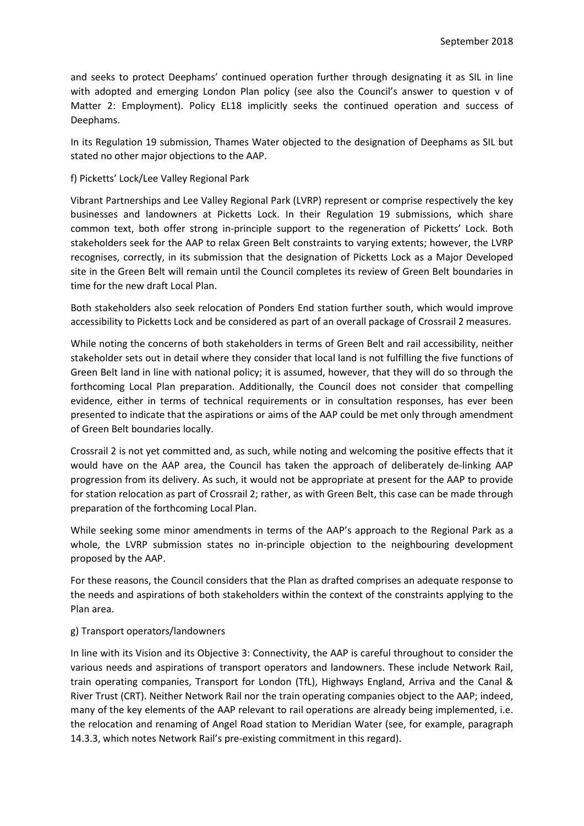and seeks to protect Deephams' continued operation further through designating it as SIL in line with adopted and emerging London Plan policy (see also the Council's answer to question v of Matter 2: Employment). Policy EL18 implicitly seeks the continued operation and success of Deephams.

In its Regulation 19 submission, Thames Water objected to the designation of Deephams as SIL but stated no other major objections to the AAP.

#### f) Picketts' Lock/Lee Valley Regional Park

Vibrant Partnerships and Lee Valley Regional Park (LVRP) represent or comprise respectively the key businesses and landowners at Picketts Lock. In their Regulation 19 submissions, which share common text, both offer strong in-principle support to the regeneration of Picketts' Lock. Both stakeholders seek for the AAP to relax Green Belt constraints to varying extents; however, the LVRP recognises, correctly, in its submission that the designation of Picketts Lock as a Major Developed site in the Green Belt will remain until the Council completes its review of Green Belt boundaries in time for the new draft Local Plan.

Both stakeholders also seek relocation of Ponders End station further south, which would improve accessibility to Picketts Lock and be considered as part of an overall package of Crossrail 2 measures.

While noting the concerns of both stakeholders in terms of Green Belt and rail accessibility, neither stakeholder sets out in detail where they consider that local land is not fulfilling the five functions of Green Belt land in line with national policy; it is assumed, however, that they will do so through the forthcoming Local Plan preparation. Additionally, the Council does not consider that compelling evidence, either in terms of technical requirements or in consultation responses, has ever been presented to indicate that the aspirations or aims of the AAP could be met only through amendment of Green Belt boundaries locally.

Crossrail 2 is not yet committed and, as such, while noting and welcoming the positive effects that it would have on the AAP area, the Council has taken the approach of deliberately de-linking AAP progression from its delivery. As such, it would not be appropriate at present for the AAP to provide for station relocation as part of Crossrail 2; rather, as with Green Belt, this case can be made through preparation of the forthcoming Local Plan.

While seeking some minor amendments in terms of the AAP's approach to the Regional Park as a whole, the LVRP submission states no in-principle objection to the neighbouring development proposed by the AAP.

For these reasons, the Council considers that the Plan as drafted comprises an adequate response to the needs and aspirations of both stakeholders within the context of the constraints applying to the Plan area.

### g) Transport operators/landowners

In line with its Vision and its Objective 3: Connectivity, the AAP is careful throughout to consider the various needs and aspirations of transport operators and landowners. These include Network Rail, train operating companies, Transport for London (TfL), Highways England, Arriva and the Canal & River Trust (CRT). Neither Network Rail nor the train operating companies object to the AAP; indeed, many of the key elements of the AAP relevant to rail operations are already being implemented, i.e. the relocation and renaming of Angel Road station to Meridian Water (see, for example, paragraph 14.3.3, which notes Network Rail's pre-existing commitment in this regard).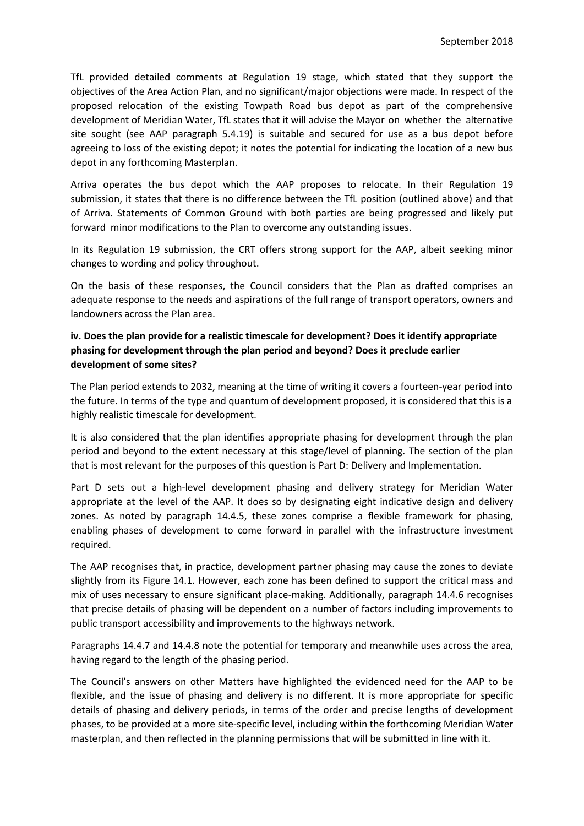TfL provided detailed comments at Regulation 19 stage, which stated that they support the objectives of the Area Action Plan, and no significant/major objections were made. In respect of the proposed relocation of the existing Towpath Road bus depot as part of the comprehensive development of Meridian Water, TfL states that it will advise the Mayor on whether the alternative site sought (see AAP paragraph 5.4.19) is suitable and secured for use as a bus depot before agreeing to loss of the existing depot; it notes the potential for indicating the location of a new bus depot in any forthcoming Masterplan.

Arriva operates the bus depot which the AAP proposes to relocate. In their Regulation 19 submission, it states that there is no difference between the TfL position (outlined above) and that of Arriva. Statements of Common Ground with both parties are being progressed and likely put forward minor modifications to the Plan to overcome any outstanding issues.

In its Regulation 19 submission, the CRT offers strong support for the AAP, albeit seeking minor changes to wording and policy throughout.

On the basis of these responses, the Council considers that the Plan as drafted comprises an adequate response to the needs and aspirations of the full range of transport operators, owners and landowners across the Plan area.

# **iv. Does the plan provide for a realistic timescale for development? Does it identify appropriate phasing for development through the plan period and beyond? Does it preclude earlier development of some sites?**

The Plan period extends to 2032, meaning at the time of writing it covers a fourteen-year period into the future. In terms of the type and quantum of development proposed, it is considered that this is a highly realistic timescale for development.

It is also considered that the plan identifies appropriate phasing for development through the plan period and beyond to the extent necessary at this stage/level of planning. The section of the plan that is most relevant for the purposes of this question is Part D: Delivery and Implementation.

Part D sets out a high-level development phasing and delivery strategy for Meridian Water appropriate at the level of the AAP. It does so by designating eight indicative design and delivery zones. As noted by paragraph 14.4.5, these zones comprise a flexible framework for phasing, enabling phases of development to come forward in parallel with the infrastructure investment required.

The AAP recognises that, in practice, development partner phasing may cause the zones to deviate slightly from its Figure 14.1. However, each zone has been defined to support the critical mass and mix of uses necessary to ensure significant place-making. Additionally, paragraph 14.4.6 recognises that precise details of phasing will be dependent on a number of factors including improvements to public transport accessibility and improvements to the highways network.

Paragraphs 14.4.7 and 14.4.8 note the potential for temporary and meanwhile uses across the area, having regard to the length of the phasing period.

The Council's answers on other Matters have highlighted the evidenced need for the AAP to be flexible, and the issue of phasing and delivery is no different. It is more appropriate for specific details of phasing and delivery periods, in terms of the order and precise lengths of development phases, to be provided at a more site-specific level, including within the forthcoming Meridian Water masterplan, and then reflected in the planning permissions that will be submitted in line with it.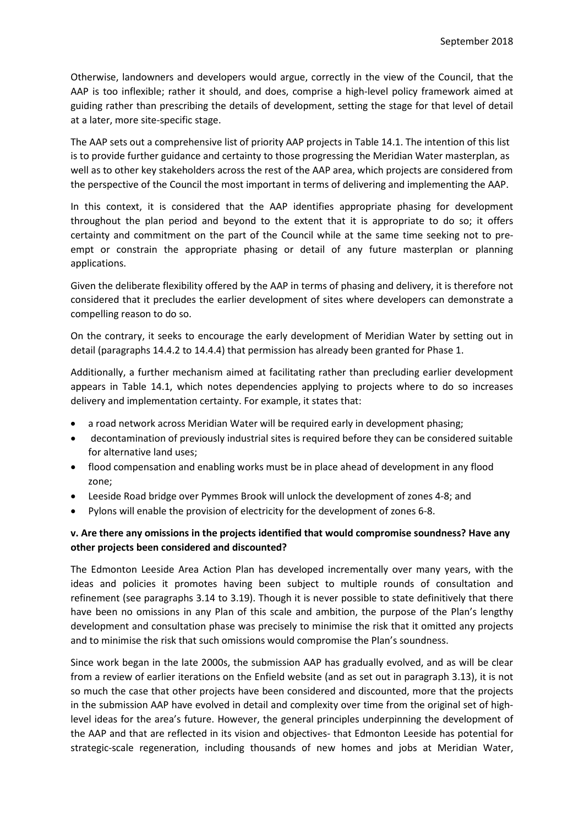Otherwise, landowners and developers would argue, correctly in the view of the Council, that the AAP is too inflexible; rather it should, and does, comprise a high-level policy framework aimed at guiding rather than prescribing the details of development, setting the stage for that level of detail at a later, more site-specific stage.

The AAP sets out a comprehensive list of priority AAP projects in Table 14.1. The intention of this list is to provide further guidance and certainty to those progressing the Meridian Water masterplan, as well as to other key stakeholders across the rest of the AAP area, which projects are considered from the perspective of the Council the most important in terms of delivering and implementing the AAP.

In this context, it is considered that the AAP identifies appropriate phasing for development throughout the plan period and beyond to the extent that it is appropriate to do so; it offers certainty and commitment on the part of the Council while at the same time seeking not to preempt or constrain the appropriate phasing or detail of any future masterplan or planning applications.

Given the deliberate flexibility offered by the AAP in terms of phasing and delivery, it is therefore not considered that it precludes the earlier development of sites where developers can demonstrate a compelling reason to do so.

On the contrary, it seeks to encourage the early development of Meridian Water by setting out in detail (paragraphs 14.4.2 to 14.4.4) that permission has already been granted for Phase 1.

Additionally, a further mechanism aimed at facilitating rather than precluding earlier development appears in Table 14.1, which notes dependencies applying to projects where to do so increases delivery and implementation certainty. For example, it states that:

- a road network across Meridian Water will be required early in development phasing;
- decontamination of previously industrial sites is required before they can be considered suitable for alternative land uses;
- flood compensation and enabling works must be in place ahead of development in any flood zone;
- Leeside Road bridge over Pymmes Brook will unlock the development of zones 4-8; and
- Pylons will enable the provision of electricity for the development of zones 6-8.

## **v. Are there any omissions in the projects identified that would compromise soundness? Have any other projects been considered and discounted?**

The Edmonton Leeside Area Action Plan has developed incrementally over many years, with the ideas and policies it promotes having been subject to multiple rounds of consultation and refinement (see paragraphs 3.14 to 3.19). Though it is never possible to state definitively that there have been no omissions in any Plan of this scale and ambition, the purpose of the Plan's lengthy development and consultation phase was precisely to minimise the risk that it omitted any projects and to minimise the risk that such omissions would compromise the Plan's soundness.

Since work began in the late 2000s, the submission AAP has gradually evolved, and as will be clear from a review of earlier iterations on the Enfield website (and as set out in paragraph 3.13), it is not so much the case that other projects have been considered and discounted, more that the projects in the submission AAP have evolved in detail and complexity over time from the original set of highlevel ideas for the area's future. However, the general principles underpinning the development of the AAP and that are reflected in its vision and objectives- that Edmonton Leeside has potential for strategic-scale regeneration, including thousands of new homes and jobs at Meridian Water,